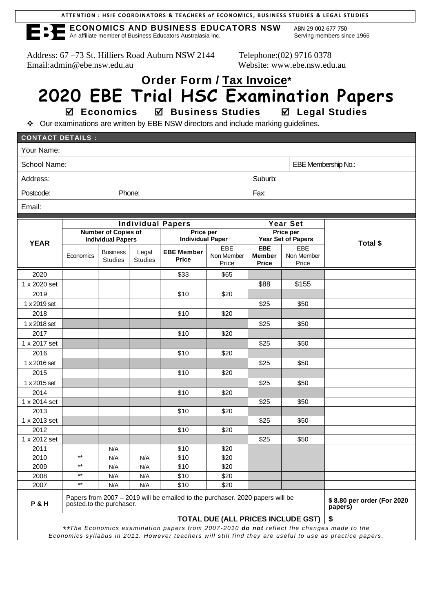| ATTENTION : HSIE COORDINATORS & TEACHERS of ECONOMICS, BUSINESS STUDIES & LEGAL STUDIES |  |  |  |
|-----------------------------------------------------------------------------------------|--|--|--|
|-----------------------------------------------------------------------------------------|--|--|--|

**ECONOMICS AND BUSINESS EDUCATORS NSW** ABN 29 002 677 750 An affiliate member of Business Educators Australasia Inc. Serving members since 1966

Address: 67 –73 St. Hilliers Road Auburn NSW 2144 Telephone:(02) 9716 0378 Email:admin@ebe.nsw.edu.au Website: www.ebe.nsw.edu.au

## **Order Form / Tax Invoice\* 2020 EBE Trial HSC Examination Papers**

 **Economics Business Studies Legal Studies**

❖ Our examinations are written by EBE NSW directors and include marking guidelines.

| <b>CONTACT DETAILS :</b>                                                                                                                                                                            |                                                        |                                   |                         |                                      |                            |                                      |                            |          |
|-----------------------------------------------------------------------------------------------------------------------------------------------------------------------------------------------------|--------------------------------------------------------|-----------------------------------|-------------------------|--------------------------------------|----------------------------|--------------------------------------|----------------------------|----------|
| Your Name:                                                                                                                                                                                          |                                                        |                                   |                         |                                      |                            |                                      |                            |          |
| School Name:                                                                                                                                                                                        |                                                        |                                   |                         |                                      |                            |                                      | EBE Membership No.:        |          |
| Address:<br>Suburb:                                                                                                                                                                                 |                                                        |                                   |                         |                                      |                            |                                      |                            |          |
| Postcode:                                                                                                                                                                                           |                                                        |                                   | Phone:                  |                                      |                            | Fax:                                 |                            |          |
| Email:                                                                                                                                                                                              |                                                        |                                   |                         |                                      |                            |                                      |                            |          |
|                                                                                                                                                                                                     |                                                        |                                   |                         |                                      |                            |                                      |                            |          |
|                                                                                                                                                                                                     | <b>Individual Papers</b>                               |                                   |                         |                                      |                            | <b>Year Set</b>                      |                            |          |
| <b>YEAR</b>                                                                                                                                                                                         | <b>Number of Copies of</b><br><b>Individual Papers</b> |                                   |                         | Price per<br><b>Individual Paper</b> |                            | Price per<br>Year Set of Papers      |                            |          |
|                                                                                                                                                                                                     | Economics                                              | <b>Business</b><br><b>Studies</b> | Legal<br><b>Studies</b> | <b>EBE Member</b><br><b>Price</b>    | EBE<br>Non Member<br>Price | <b>EBE</b><br>Member<br><b>Price</b> | EBE<br>Non Member<br>Price | Total \$ |
| 2020                                                                                                                                                                                                |                                                        |                                   |                         | \$33                                 | \$65                       |                                      |                            |          |
| 1 x 2020 set                                                                                                                                                                                        |                                                        |                                   |                         |                                      |                            | \$88                                 | \$155                      |          |
| 2019                                                                                                                                                                                                |                                                        |                                   |                         | \$10                                 | \$20                       |                                      |                            |          |
| 1 x 2019 set                                                                                                                                                                                        |                                                        |                                   |                         |                                      |                            | \$25                                 | \$50                       |          |
| 2018                                                                                                                                                                                                |                                                        |                                   |                         | \$10                                 | \$20                       |                                      |                            |          |
| 1 x 2018 set                                                                                                                                                                                        |                                                        |                                   |                         |                                      |                            | \$25                                 | \$50                       |          |
| 2017                                                                                                                                                                                                |                                                        |                                   |                         | \$10                                 | \$20                       |                                      |                            |          |
| 1 x 2017 set                                                                                                                                                                                        |                                                        |                                   |                         |                                      |                            | \$25                                 | \$50                       |          |
| 2016                                                                                                                                                                                                |                                                        |                                   |                         | \$10                                 | \$20                       |                                      |                            |          |
| 1 x 2016 set                                                                                                                                                                                        |                                                        |                                   |                         |                                      |                            | \$25                                 | \$50                       |          |
| 2015                                                                                                                                                                                                |                                                        |                                   |                         | \$10                                 | \$20                       |                                      |                            |          |
| 1 x 2015 set                                                                                                                                                                                        |                                                        |                                   |                         |                                      |                            | \$25                                 | \$50                       |          |
| 2014                                                                                                                                                                                                |                                                        |                                   |                         | \$10                                 | \$20                       |                                      |                            |          |
| 1 x 2014 set                                                                                                                                                                                        |                                                        |                                   |                         |                                      |                            | \$25                                 | \$50                       |          |
| 2013                                                                                                                                                                                                |                                                        |                                   |                         | \$10                                 | \$20                       |                                      |                            |          |
| 1 x 2013 set                                                                                                                                                                                        |                                                        |                                   |                         |                                      |                            | \$25                                 | \$50                       |          |
| 2012                                                                                                                                                                                                |                                                        |                                   |                         | \$10                                 | \$20                       |                                      |                            |          |
| 1 x 2012 set                                                                                                                                                                                        |                                                        |                                   |                         |                                      |                            | \$25                                 | \$50                       |          |
| 2011                                                                                                                                                                                                | $\star\star$                                           | N/A                               |                         | \$10                                 | \$20                       |                                      |                            |          |
| 2010                                                                                                                                                                                                | $***$                                                  | N/A                               | N/A                     | \$10                                 | \$20                       |                                      |                            |          |
| 2009<br>2008                                                                                                                                                                                        | $\star\star$                                           | N/A                               | N/A                     | \$10<br>\$10                         | \$20<br>\$20               |                                      |                            |          |
| 2007                                                                                                                                                                                                | $\star\star$                                           | N/A<br>N/A                        | N/A<br>N/A              | \$10                                 | \$20                       |                                      |                            |          |
| Papers from 2007 - 2019 will be emailed to the purchaser. 2020 papers will be<br><b>P&amp;H</b><br>posted to the purchaser.<br>papers)                                                              |                                                        |                                   |                         |                                      |                            | \$8.80 per order (For 2020           |                            |          |
| TOTAL DUE (ALL PRICES INCLUDE GST)                                                                                                                                                                  |                                                        |                                   |                         |                                      |                            |                                      | \$                         |          |
| **The Economics examination papers from 2007-2010 do not reflect the changes made to the<br>Economics syllabus in 2011. However teachers will still find they are useful to use as practice papers. |                                                        |                                   |                         |                                      |                            |                                      |                            |          |